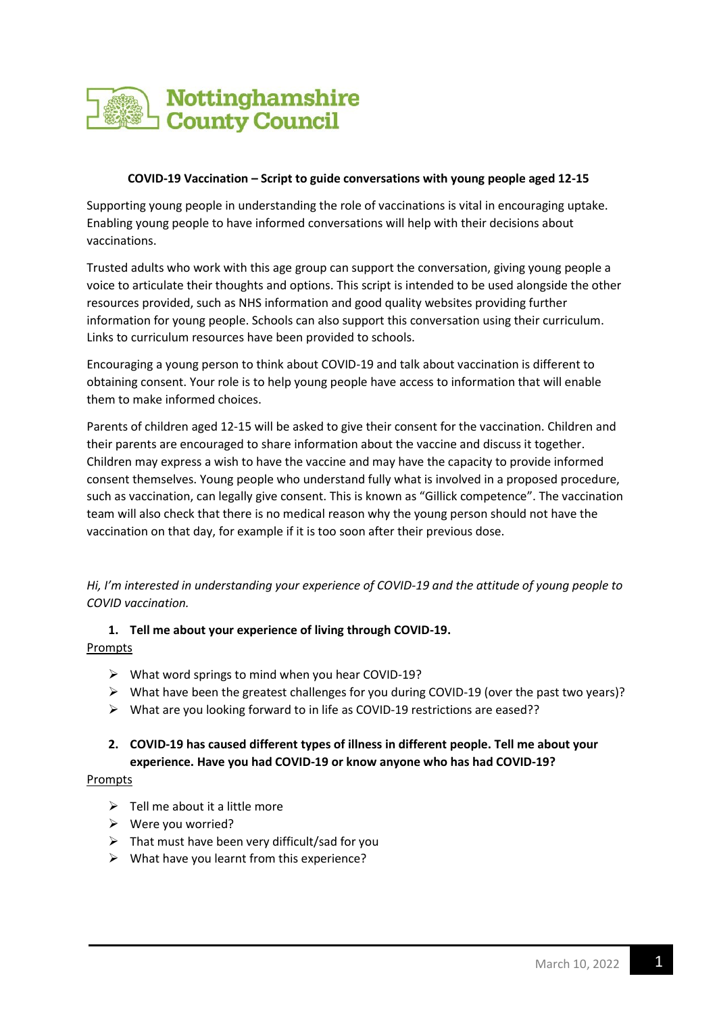

#### **COVID-19 Vaccination – Script to guide conversations with young people aged 12-15**

Supporting young people in understanding the role of vaccinations is vital in encouraging uptake. Enabling young people to have informed conversations will help with their decisions about vaccinations.

Trusted adults who work with this age group can support the conversation, giving young people a voice to articulate their thoughts and options. This script is intended to be used alongside the other resources provided, such as NHS information and good quality websites providing further information for young people. Schools can also support this conversation using their curriculum. Links to curriculum resources have been provided to schools.

Encouraging a young person to think about COVID-19 and talk about vaccination is different to obtaining consent. Your role is to help young people have access to information that will enable them to make informed choices.

Parents of children aged 12-15 will be asked to give their consent for the vaccination. Children and their parents are encouraged to share information about the vaccine and discuss it together. Children may express a wish to have the vaccine and may have the capacity to provide informed consent themselves. Young people who understand fully what is involved in a proposed procedure, such as vaccination, can legally give consent. This is known as "Gillick competence". The vaccination team will also check that there is no medical reason why the young person should not have the vaccination on that day, for example if it is too soon after their previous dose.

*Hi, I'm interested in understanding your experience of COVID-19 and the attitude of young people to COVID vaccination.* 

## **1. Tell me about your experience of living through COVID-19.**  Prompts

- ➢ What word springs to mind when you hear COVID-19?
- ➢ What have been the greatest challenges for you during COVID-19 (over the past two years)?
- ➢ What are you looking forward to in life as COVID-19 restrictions are eased??

## **2. COVID-19 has caused different types of illness in different people. Tell me about your experience. Have you had COVID-19 or know anyone who has had COVID-19?**

#### Prompts

- $\triangleright$  Tell me about it a little more
- ➢ Were you worried?
- $\triangleright$  That must have been very difficult/sad for you
- $\triangleright$  What have you learnt from this experience?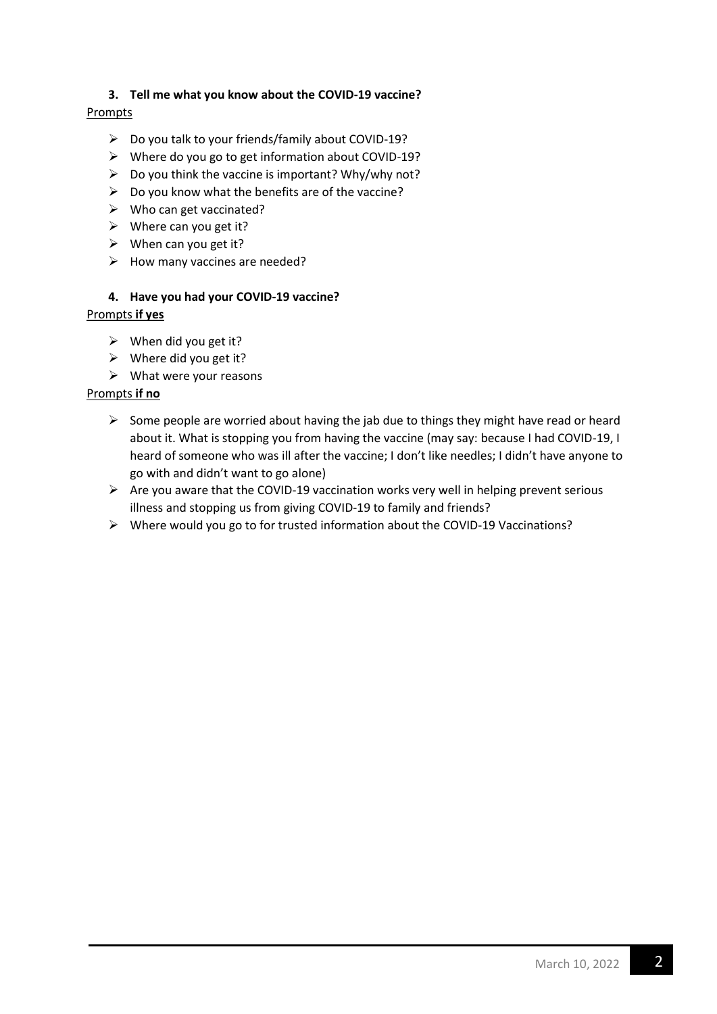## **3. Tell me what you know about the COVID-19 vaccine?**

## Prompts

- ➢ Do you talk to your friends/family about COVID-19?
- ➢ Where do you go to get information about COVID-19?
- ➢ Do you think the vaccine is important? Why/why not?
- $\triangleright$  Do you know what the benefits are of the vaccine?
- $\triangleright$  Who can get vaccinated?
- $\triangleright$  Where can you get it?
- $\triangleright$  When can you get it?
- $\triangleright$  How many vaccines are needed?

## **4. Have you had your COVID-19 vaccine?**

### Prompts **if yes**

- $\triangleright$  When did you get it?
- $\triangleright$  Where did you get it?
- $\triangleright$  What were your reasons

### Prompts **if no**

- $\triangleright$  Some people are worried about having the jab due to things they might have read or heard about it. What is stopping you from having the vaccine (may say: because I had COVID-19, I heard of someone who was ill after the vaccine; I don't like needles; I didn't have anyone to go with and didn't want to go alone)
- $\triangleright$  Are you aware that the COVID-19 vaccination works very well in helping prevent serious illness and stopping us from giving COVID-19 to family and friends?
- ➢ Where would you go to for trusted information about the COVID-19 Vaccinations?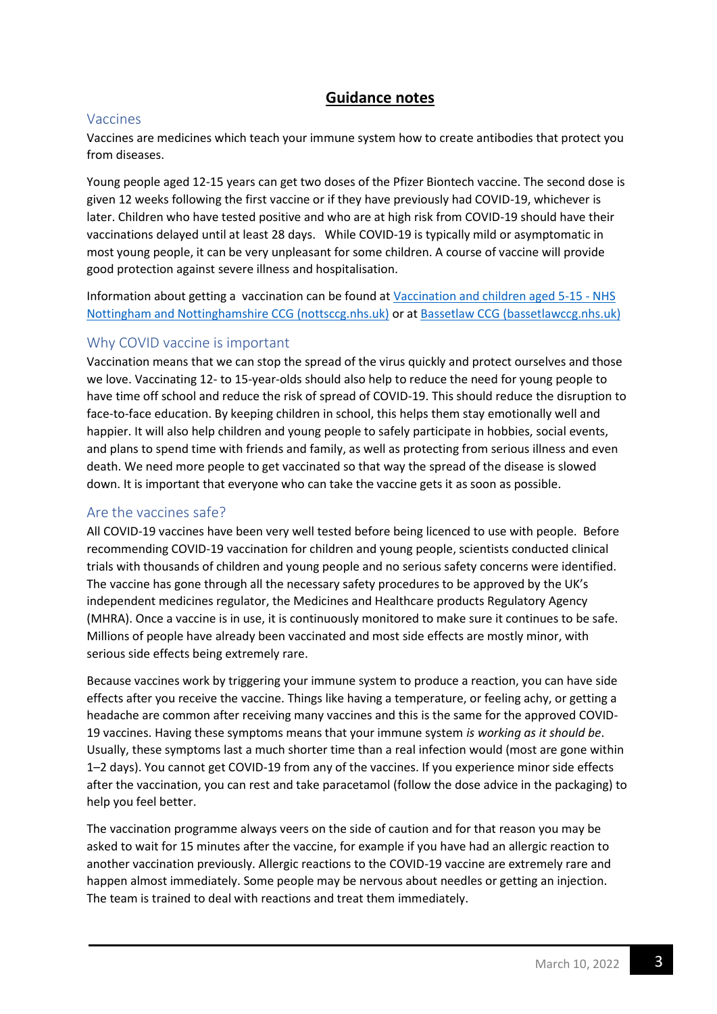# **Guidance notes**

## Vaccines

Vaccines are medicines which teach your immune system how to create antibodies that protect you from diseases.

Young people aged 12-15 years can get two doses of the Pfizer Biontech vaccine. The second dose is given 12 weeks following the first vaccine or if they have previously had COVID-19, whichever is later. Children who have tested positive and who are at high risk from COVID-19 should have their vaccinations delayed until at least 28 days. While COVID-19 is typically mild or asymptomatic in most young people, it can be very unpleasant for some children. A course of vaccine will provide good protection against severe illness and hospitalisation.

Information about getting a vaccination can be found a[t Vaccination and children aged 5-15 -](https://nottsccg.nhs.uk/covid-19/covid-19-vaccinations/groups-being-vaccinated/12-15-year-olds/) NHS [Nottingham and Nottinghamshire CCG \(nottsccg.nhs.uk\)](https://nottsccg.nhs.uk/covid-19/covid-19-vaccinations/groups-being-vaccinated/12-15-year-olds/) or at [Bassetlaw CCG \(bassetlawccg.nhs.uk\)](https://www.bassetlawccg.nhs.uk/)

## Why COVID vaccine is important

Vaccination means that we can stop the spread of the virus quickly and protect ourselves and those we love. Vaccinating 12- to 15-year-olds should also help to reduce the need for young people to have time off school and reduce the risk of spread of COVID-19. This should reduce the disruption to face-to-face education. By keeping children in school, this helps them stay emotionally well and happier. It will also help children and young people to safely participate in hobbies, social events, and plans to spend time with friends and family, as well as protecting from serious illness and even death. We need more people to get vaccinated so that way the spread of the disease is slowed down. It is important that everyone who can take the vaccine gets it as soon as possible.

## Are the vaccines safe?

All COVID-19 vaccines have been very well tested before being licenced to use with people. Before recommending COVID-19 vaccination for children and young people, scientists conducted clinical trials with thousands of children and young people and no serious safety concerns were identified. The vaccine has gone through all the necessary safety procedures to be approved by the UK's independent medicines regulator, the Medicines and Healthcare products Regulatory Agency (MHRA). Once a vaccine is in use, it is continuously monitored to make sure it continues to be safe. Millions of people have already been vaccinated and most side effects are mostly minor, with serious side effects being extremely rare.

Because vaccines work by triggering your immune system to produce a reaction, you can have side effects after you receive the vaccine. Things like having a temperature, or feeling achy, or getting a headache are common after receiving many vaccines and this is the same for the approved COVID-19 vaccines. Having these symptoms means that your immune system *is working as it should be*. Usually, these symptoms last a much shorter time than a real infection would (most are gone within 1–2 days). You cannot get COVID-19 from any of the vaccines. If you experience minor side effects after the vaccination, you can rest and take paracetamol (follow the dose advice in the packaging) to help you feel better.

The vaccination programme always veers on the side of caution and for that reason you may be asked to wait for 15 minutes after the vaccine, for example if you have had an allergic reaction to another vaccination previously. Allergic reactions to the COVID-19 vaccine are extremely rare and happen almost immediately. Some people may be nervous about needles or getting an injection. The team is trained to deal with reactions and treat them immediately.